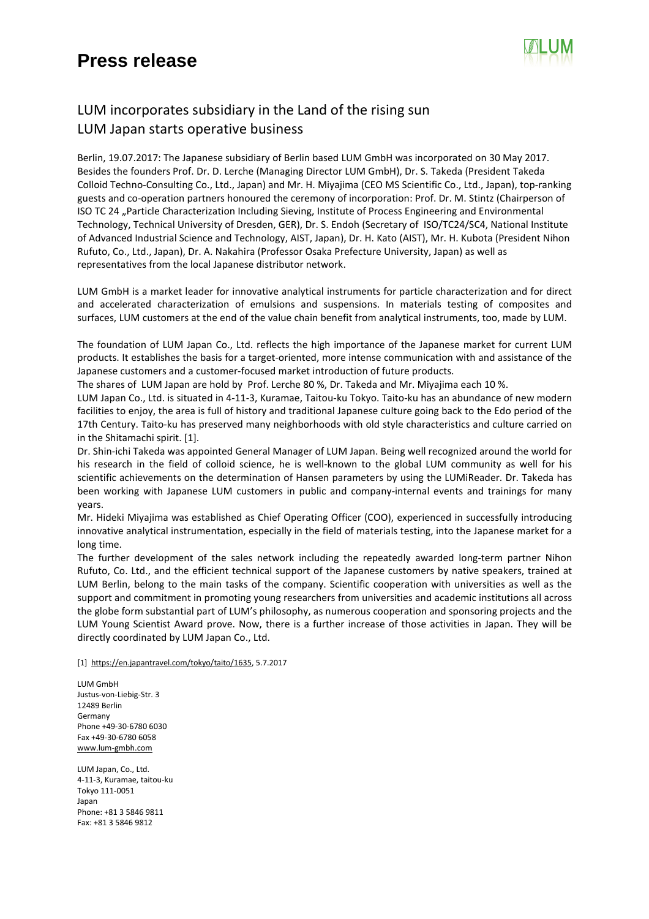## **Press release**



## LUM incorporates subsidiary in the Land of the rising sun LUM Japan starts operative business

Berlin, 19.07.2017: The Japanese subsidiary of Berlin based LUM GmbH was incorporated on 30 May 2017. Besides the founders Prof. Dr. D. Lerche (Managing Director LUM GmbH), Dr. S. Takeda (President Takeda Colloid Techno-Consulting Co., Ltd., Japan) and Mr. H. Miyajima (CEO MS Scientific Co., Ltd., Japan), top-ranking guests and co-operation partners honoured the ceremony of incorporation: Prof. Dr. M. Stintz (Chairperson of ISO TC 24 "Particle Characterization Including Sieving, Institute of Process Engineering and Environmental Technology, Technical University of Dresden, GER), Dr. S. Endoh (Secretary of ISO/TC24/SC4, National Institute of Advanced Industrial Science and Technology, AIST, Japan), Dr. H. Kato (AIST), Mr. H. Kubota (President Nihon Rufuto, Co., Ltd., Japan), Dr. A. Nakahira (Professor Osaka Prefecture University, Japan) as well as representatives from the local Japanese distributor network.

LUM GmbH is a market leader for innovative analytical instruments for particle characterization and for direct and accelerated characterization of emulsions and suspensions. In materials testing of composites and surfaces, LUM customers at the end of the value chain benefit from analytical instruments, too, made by LUM.

The foundation of LUM Japan Co., Ltd. reflects the high importance of the Japanese market for current LUM products. It establishes the basis for a target-oriented, more intense communication with and assistance of the Japanese customers and a customer-focused market introduction of future products.

The shares of LUM Japan are hold by Prof. Lerche 80 %, Dr. Takeda and Mr. Miyajima each 10 %.

LUM Japan Co., Ltd. is situated in 4-11-3, Kuramae, Taitou-ku Tokyo. Taito-ku has an abundance of new modern facilities to enjoy, the area is full of history and traditional Japanese culture going back to the Edo period of the 17th Century. Taito-ku has preserved many neighborhoods with old style characteristics and culture carried on in the Shitamachi spirit. [1].

Dr. Shin-ichi Takeda was appointed General Manager of LUM Japan. Being well recognized around the world for his research in the field of colloid science, he is well-known to the global LUM community as well for his scientific achievements on the determination of Hansen parameters by using the LUMiReader. Dr. Takeda has been working with Japanese LUM customers in public and company-internal events and trainings for many years.

Mr. Hideki Miyajima was established as Chief Operating Officer (COO), experienced in successfully introducing innovative analytical instrumentation, especially in the field of materials testing, into the Japanese market for a long time.

The further development of the sales network including the repeatedly awarded long-term partner Nihon Rufuto, Co. Ltd., and the efficient technical support of the Japanese customers by native speakers, trained at LUM Berlin, belong to the main tasks of the company. Scientific cooperation with universities as well as the support and commitment in promoting young researchers from universities and academic institutions all across the globe form substantial part of LUM's philosophy, as numerous cooperation and sponsoring projects and the LUM Young Scientist Award prove. Now, there is a further increase of those activities in Japan. They will be directly coordinated by LUM Japan Co., Ltd.

[1] https://en.japantravel.com/tokyo/taito/1635, 5.7.2017

LUM GmbH Justus-von-Liebig-Str. 3 12489 Berlin Germany Phone +49-30-6780 6030 Fax +49-30-6780 6058 www.lum-gmbh.com

LUM Japan, Co., Ltd. 4-11-3, Kuramae, taitou-ku Tokyo 111-0051 Japan Phone: +81 3 5846 9811 Fax: +81 3 5846 9812